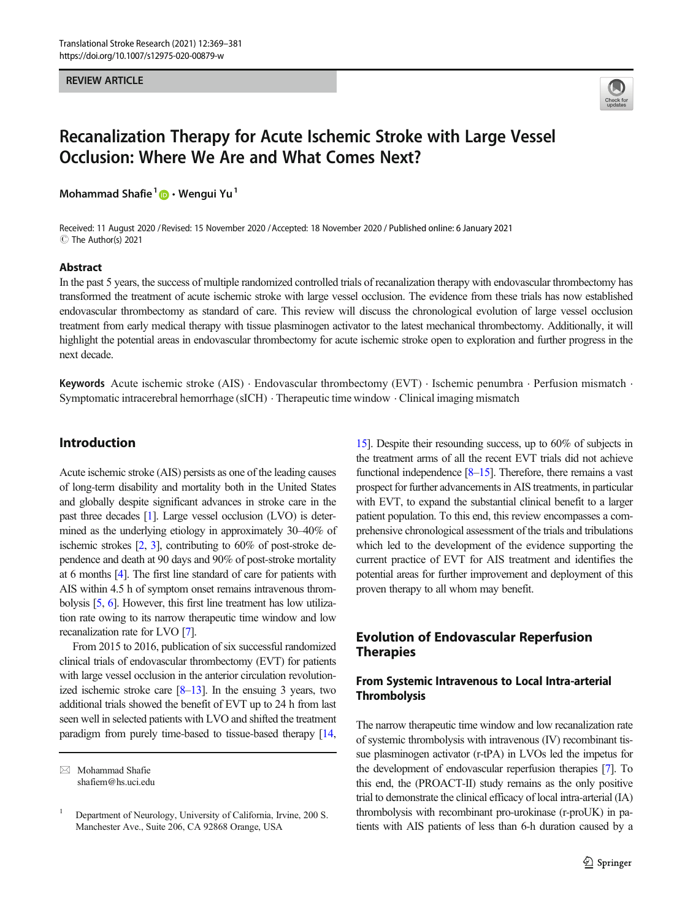#### REVIEW ARTICLE



# Recanalization Therapy for Acute Ischemic Stroke with Large Vessel Occlusion: Where We Are and What Comes Next?

Mohammad Shafie<sup>1</sup>  $\bullet$  · Wengui Yu<sup>1</sup>

Received: 11 August 2020 / Revised: 15 November 2020 /Accepted: 18 November 2020 / Published online: 6 January 2021C The Author(s) 2021

#### Abstract

In the past 5 years, the success of multiple randomized controlled trials of recanalization therapy with endovascular thrombectomy has transformed the treatment of acute ischemic stroke with large vessel occlusion. The evidence from these trials has now established endovascular thrombectomy as standard of care. This review will discuss the chronological evolution of large vessel occlusion treatment from early medical therapy with tissue plasminogen activator to the latest mechanical thrombectomy. Additionally, it will highlight the potential areas in endovascular thrombectomy for acute ischemic stroke open to exploration and further progress in the next decade.

Keywords Acute ischemic stroke (AIS) . Endovascular thrombectomy (EVT) . Ischemic penumbra . Perfusion mismatch . Symptomatic intracerebral hemorrhage (sICH) . Therapeutic time window . Clinical imaging mismatch

## Introduction

Acute ischemic stroke (AIS) persists as one of the leading causes of long-term disability and mortality both in the United States and globally despite significant advances in stroke care in the past three decades [[1](#page-8-0)]. Large vessel occlusion (LVO) is determined as the underlying etiology in approximately 30–40% of ischemic strokes [\[2,](#page-8-0) [3](#page-8-0)], contributing to 60% of post-stroke dependence and death at 90 days and 90% of post-stroke mortality at 6 months [\[4](#page-8-0)]. The first line standard of care for patients with AIS within 4.5 h of symptom onset remains intravenous thrombolysis [\[5,](#page-8-0) [6](#page-8-0)]. However, this first line treatment has low utilization rate owing to its narrow therapeutic time window and low recanalization rate for LVO [\[7\]](#page-8-0).

From 2015 to 2016, publication of six successful randomized clinical trials of endovascular thrombectomy (EVT) for patients with large vessel occlusion in the anterior circulation revolutionized ischemic stroke care [\[8](#page-8-0)–[13](#page-9-0)]. In the ensuing 3 years, two additional trials showed the benefit of EVT up to 24 h from last seen well in selected patients with LVO and shifted the treatment paradigm from purely time-based to tissue-based therapy [\[14,](#page-9-0)

[15\]](#page-9-0). Despite their resounding success, up to 60% of subjects in the treatment arms of all the recent EVT trials did not achieve functional independence [\[8](#page-8-0)–[15](#page-9-0)]. Therefore, there remains a vast prospect for further advancements in AIS treatments, in particular with EVT, to expand the substantial clinical benefit to a larger patient population. To this end, this review encompasses a comprehensive chronological assessment of the trials and tribulations which led to the development of the evidence supporting the current practice of EVT for AIS treatment and identifies the potential areas for further improvement and deployment of this proven therapy to all whom may benefit.

# Evolution of Endovascular Reperfusion Therapies

# From Systemic Intravenous to Local Intra-arterial **Thrombolysis**

The narrow therapeutic time window and low recanalization rate of systemic thrombolysis with intravenous (IV) recombinant tissue plasminogen activator (r-tPA) in LVOs led the impetus for the development of endovascular reperfusion therapies [\[7\]](#page-8-0). To this end, the (PROACT-II) study remains as the only positive trial to demonstrate the clinical efficacy of local intra-arterial (IA) thrombolysis with recombinant pro-urokinase (r-proUK) in patients with AIS patients of less than 6-h duration caused by a

 $\boxtimes$  Mohammad Shafie [shafiem@hs.uci.edu](mailto:shafiem@hs.uci.edu)

<sup>1</sup> Department of Neurology, University of California, Irvine, 200 S. Manchester Ave., Suite 206, CA 92868 Orange, USA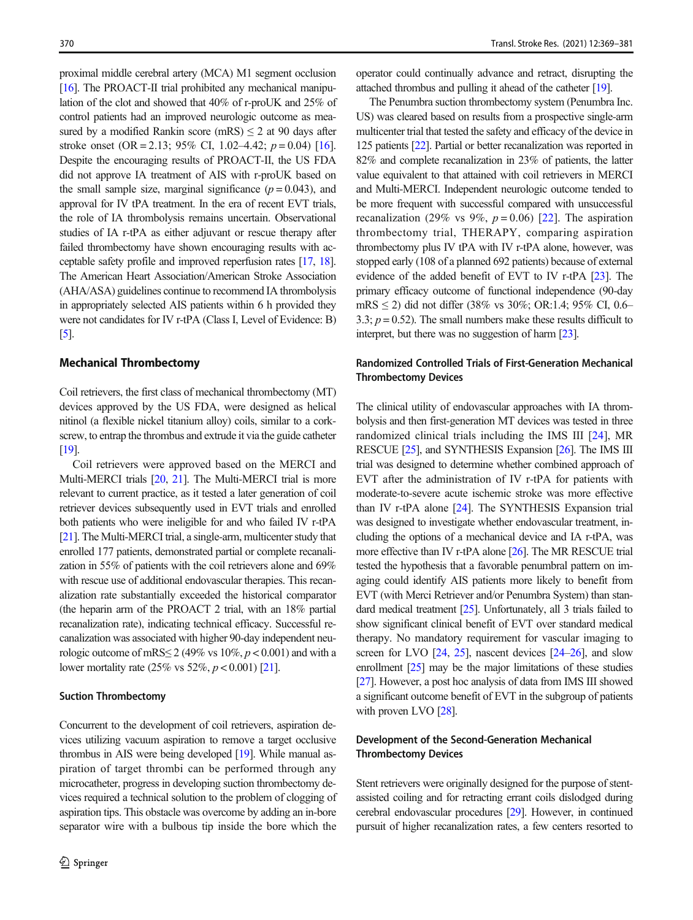proximal middle cerebral artery (MCA) M1 segment occlusion [16]. The PROACT-II trial prohibited any mechanical manipulation of the clot and showed that 40% of r-proUK and 25% of control patients had an improved neurologic outcome as measured by a modified Rankin score (mRS)  $\leq$  2 at 90 days after stroke onset (OR = 2.13; 95% CI, 1.02–4.42;  $p = 0.04$ ) [16]. Despite the encouraging results of PROACT-II, the US FDA did not approve IA treatment of AIS with r-proUK based on the small sample size, marginal significance  $(p = 0.043)$ , and approval for IV tPA treatment. In the era of recent EVT trials, the role of IA thrombolysis remains uncertain. Observational studies of IA r-tPA as either adjuvant or rescue therapy after failed thrombectomy have shown encouraging results with acceptable safety profile and improved reperfusion rates [17, 18]. The American Heart Association/American Stroke Association (AHA/ASA) guidelines continue to recommend IA thrombolysis in appropriately selected AIS patients within 6 h provided they were not candidates for IV r-tPA (Class I, Level of Evidence: B)  $\lceil 5 \rceil$ .

#### Mechanical Thrombectomy

Coil retrievers, the first class of mechanical thrombectomy (MT) devices approved by the US FDA, were designed as helical nitinol (a flexible nickel titanium alloy) coils, similar to a corkscrew, to entrap the thrombus and extrude it via the guide catheter [19].

Coil retrievers were approved based on the MERCI and Multi-MERCI trials [20, 21]. The Multi-MERCI trial is more relevant to current practice, as it tested a later generation of coil retriever devices subsequently used in EVT trials and enrolled both patients who were ineligible for and who failed IV r-tPA [21]. The Multi-MERCI trial, a single-arm, multicenter study that enrolled 177 patients, demonstrated partial or complete recanalization in 55% of patients with the coil retrievers alone and 69% with rescue use of additional endovascular therapies. This recanalization rate substantially exceeded the historical comparator (the heparin arm of the PROACT 2 trial, with an 18% partial recanalization rate), indicating technical efficacy. Successful recanalization was associated with higher 90-day independent neurologic outcome of mRS $\leq$  2 (49% vs 10%,  $p < 0.001$ ) and with a lower mortality rate  $(25\% \text{ vs } 52\%, p < 0.001)$  [21].

#### Suction Thrombectomy

Concurrent to the development of coil retrievers, aspiration devices utilizing vacuum aspiration to remove a target occlusive thrombus in AIS were being developed [19]. While manual aspiration of target thrombi can be performed through any microcatheter, progress in developing suction thrombectomy devices required a technical solution to the problem of clogging of aspiration tips. This obstacle was overcome by adding an in-bore separator wire with a bulbous tip inside the bore which the

operator could continually advance and retract, disrupting the attached thrombus and pulling it ahead of the catheter [19].

The Penumbra suction thrombectomy system (Penumbra Inc. US) was cleared based on results from a prospective single-arm multicenter trial that tested the safety and efficacy of the device in 125 patients [22]. Partial or better recanalization was reported in 82% and complete recanalization in 23% of patients, the latter value equivalent to that attained with coil retrievers in MERCI and Multi-MERCI. Independent neurologic outcome tended to be more frequent with successful compared with unsuccessful recanalization (29% vs 9%,  $p = 0.06$ ) [22]. The aspiration thrombectomy trial, THERAPY, comparing aspiration thrombectomy plus IV tPA with IV r-tPA alone, however, was stopped early (108 of a planned 692 patients) because of external evidence of the added benefit of EVT to IV r-tPA [23]. The primary efficacy outcome of functional independence (90-day mRS ≤ 2) did not differ (38% vs 30%; OR:1.4; 95% CI, 0.6– 3.3;  $p = 0.52$ ). The small numbers make these results difficult to interpret, but there was no suggestion of harm [23].

## Randomized Controlled Trials of First-Generation Mechanical Thrombectomy Devices

The clinical utility of endovascular approaches with IA thrombolysis and then first-generation MT devices was tested in three randomized clinical trials including the IMS III [24], MR RESCUE [25], and SYNTHESIS Expansion [26]. The IMS III trial was designed to determine whether combined approach of EVT after the administration of IV r-tPA for patients with moderate-to-severe acute ischemic stroke was more effective than IV r-tPA alone [24]. The SYNTHESIS Expansion trial was designed to investigate whether endovascular treatment, including the options of a mechanical device and IA r-tPA, was more effective than IV r-tPA alone [26]. The MR RESCUE trial tested the hypothesis that a favorable penumbral pattern on imaging could identify AIS patients more likely to benefit from EVT (with Merci Retriever and/or Penumbra System) than standard medical treatment [25]. Unfortunately, all 3 trials failed to show significant clinical benefit of EVT over standard medical therapy. No mandatory requirement for vascular imaging to screen for LVO [24, 25], nascent devices [24–26], and slow enrollment [25] may be the major limitations of these studies [27]. However, a post hoc analysis of data from IMS III showed a significant outcome benefit of EVT in the subgroup of patients with proven LVO [28].

## Development of the Second-Generation Mechanical Thrombectomy Devices

Stent retrievers were originally designed for the purpose of stentassisted coiling and for retracting errant coils dislodged during cerebral endovascular procedures [29]. However, in continued pursuit of higher recanalization rates, a few centers resorted to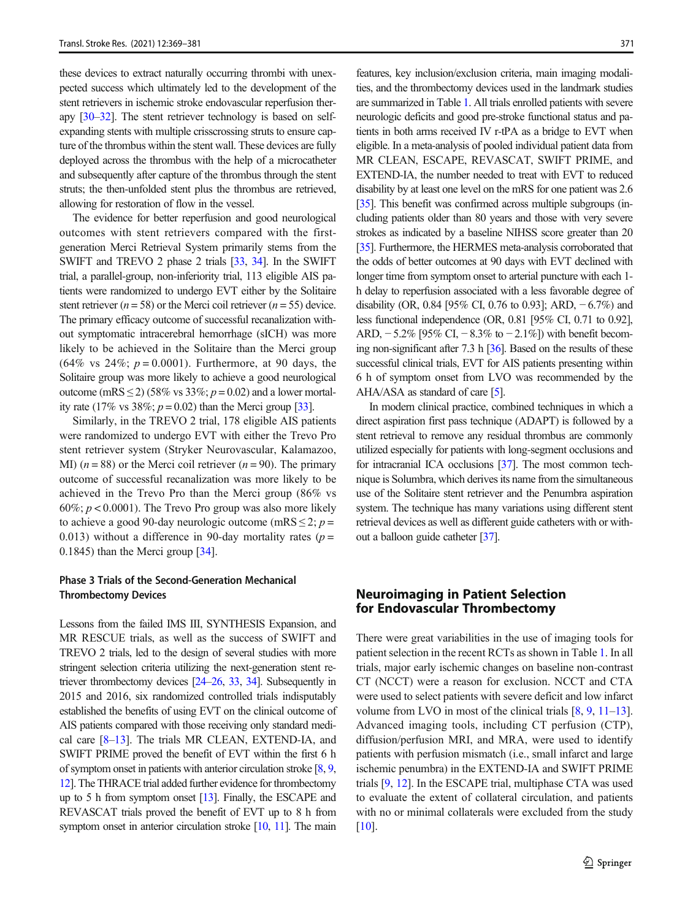these devices to extract naturally occurring thrombi with unexpected success which ultimately led to the development of the stent retrievers in ischemic stroke endovascular reperfusion therapy [30–32]. The stent retriever technology is based on selfexpanding stents with multiple crisscrossing struts to ensure capture of the thrombus within the stent wall. These devices are fully deployed across the thrombus with the help of a microcatheter and subsequently after capture of the thrombus through the stent struts; the then-unfolded stent plus the thrombus are retrieved, allowing for restoration of flow in the vessel.

The evidence for better reperfusion and good neurological outcomes with stent retrievers compared with the firstgeneration Merci Retrieval System primarily stems from the SWIFT and TREVO 2 phase 2 trials [33, 34]. In the SWIFT trial, a parallel-group, non-inferiority trial, 113 eligible AIS patients were randomized to undergo EVT either by the Solitaire stent retriever ( $n = 58$ ) or the Merci coil retriever ( $n = 55$ ) device. The primary efficacy outcome of successful recanalization without symptomatic intracerebral hemorrhage (sICH) was more likely to be achieved in the Solitaire than the Merci group  $(64\% \text{ vs } 24\%; p = 0.0001)$ . Furthermore, at 90 days, the Solitaire group was more likely to achieve a good neurological outcome (mRS  $\leq$  2) (58% vs 33%;  $p = 0.02$ ) and a lower mortality rate (17% vs 38%;  $p = 0.02$ ) than the Merci group [33].

Similarly, in the TREVO 2 trial, 178 eligible AIS patients were randomized to undergo EVT with either the Trevo Pro stent retriever system (Stryker Neurovascular, Kalamazoo, MI)  $(n = 88)$  or the Merci coil retriever  $(n = 90)$ . The primary outcome of successful recanalization was more likely to be achieved in the Trevo Pro than the Merci group (86% vs  $60\%$ ;  $p < 0.0001$ ). The Trevo Pro group was also more likely to achieve a good 90-day neurologic outcome (mRS  $\leq$  2; p = 0.013) without a difference in 90-day mortality rates ( $p =$ 0.1845) than the Merci group [34].

## Phase 3 Trials of the Second-Generation Mechanical Thrombectomy Devices

Lessons from the failed IMS III, SYNTHESIS Expansion, and MR RESCUE trials, as well as the success of SWIFT and TREVO 2 trials, led to the design of several studies with more stringent selection criteria utilizing the next-generation stent retriever thrombectomy devices [24–26, 33, 34]. Subsequently in 2015 and 2016, six randomized controlled trials indisputably established the benefits of using EVT on the clinical outcome of AIS patients compared with those receiving only standard medical care [8–13]. The trials MR CLEAN, EXTEND-IA, and SWIFT PRIME proved the benefit of EVT within the first 6 h of symptom onset in patients with anterior circulation stroke [8, 9, 12]. The THRACE trial added further evidence for thrombectomy up to 5 h from symptom onset [13]. Finally, the ESCAPE and REVASCAT trials proved the benefit of EVT up to 8 h from symptom onset in anterior circulation stroke [10, 11]. The main

features, key inclusion/exclusion criteria, main imaging modalities, and the thrombectomy devices used in the landmark studies are summarized in Table 1. All trials enrolled patients with severe neurologic deficits and good pre-stroke functional status and patients in both arms received IV r-tPA as a bridge to EVT when eligible. In a meta-analysis of pooled individual patient data from MR CLEAN, ESCAPE, REVASCAT, SWIFT PRIME, and EXTEND-IA, the number needed to treat with EVT to reduced disability by at least one level on the mRS for one patient was 2.6 [35]. This benefit was confirmed across multiple subgroups (including patients older than 80 years and those with very severe strokes as indicated by a baseline NIHSS score greater than 20 [35]. Furthermore, the HERMES meta-analysis corroborated that the odds of better outcomes at 90 days with EVT declined with longer time from symptom onset to arterial puncture with each 1 h delay to reperfusion associated with a less favorable degree of disability (OR, 0.84 [95% CI, 0.76 to 0.93]; ARD,  $-6.7%$ ) and less functional independence (OR, 0.81 [95% CI, 0.71 to 0.92], ARD, −5.2% [95% CI, −8.3% to −2.1%]) with benefit becoming non-significant after 7.3 h [36]. Based on the results of these successful clinical trials, EVT for AIS patients presenting within 6 h of symptom onset from LVO was recommended by the AHA/ASA as standard of care [5].

In modern clinical practice, combined techniques in which a direct aspiration first pass technique (ADAPT) is followed by a stent retrieval to remove any residual thrombus are commonly utilized especially for patients with long-segment occlusions and for intracranial ICA occlusions [37]. The most common technique is Solumbra, which derives its name from the simultaneous use of the Solitaire stent retriever and the Penumbra aspiration system. The technique has many variations using different stent retrieval devices as well as different guide catheters with or without a balloon guide catheter [37].

# Neuroimaging in Patient Selection for Endovascular Thrombectomy

There were great variabilities in the use of imaging tools for patient selection in the recent RCTs as shown in Table 1. In all trials, major early ischemic changes on baseline non-contrast CT (NCCT) were a reason for exclusion. NCCT and CTA were used to select patients with severe deficit and low infarct volume from LVO in most of the clinical trials [8, 9, 11–13]. Advanced imaging tools, including CT perfusion (CTP), diffusion/perfusion MRI, and MRA, were used to identify patients with perfusion mismatch (i.e., small infarct and large ischemic penumbra) in the EXTEND-IA and SWIFT PRIME trials [9, 12]. In the ESCAPE trial, multiphase CTA was used to evaluate the extent of collateral circulation, and patients with no or minimal collaterals were excluded from the study [10].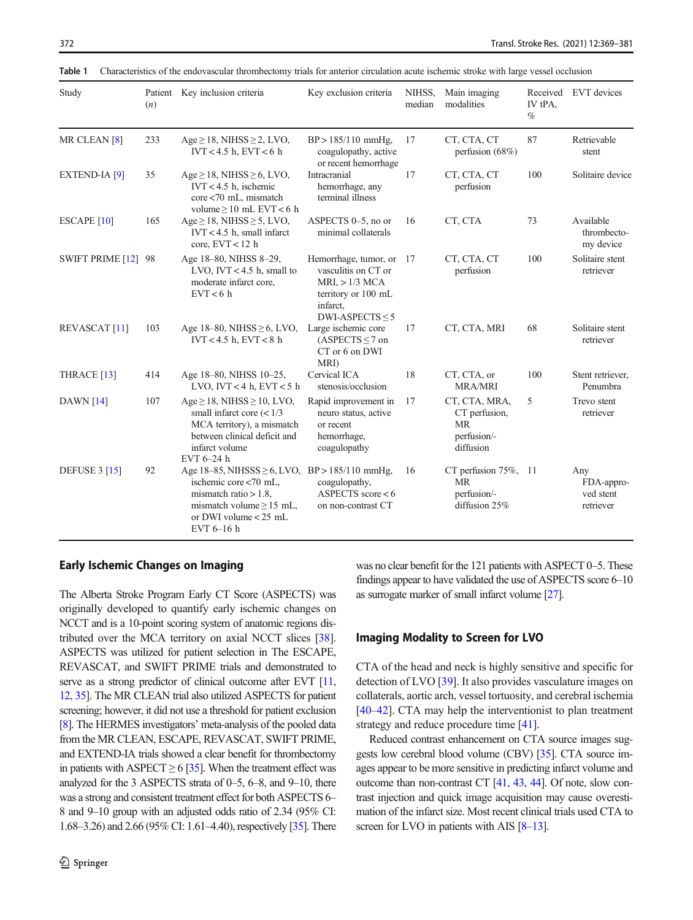| Study                           | (n) | Patient Key inclusion criteria                                                                                                                                                            | Key exclusion criteria                                                                                                         | NIHSS,<br>median | Main imaging<br>modalities                                       | Received<br>IV tPA,<br>$\%$ | EVT devices                                 |
|---------------------------------|-----|-------------------------------------------------------------------------------------------------------------------------------------------------------------------------------------------|--------------------------------------------------------------------------------------------------------------------------------|------------------|------------------------------------------------------------------|-----------------------------|---------------------------------------------|
| MR CLEAN <sup>[8]</sup>         | 233 | $Age \ge 18$ , NIHSS $\ge 2$ , LVO,<br>IVT < 4.5 h, EVT < 6 h                                                                                                                             | $BP > 185/110$ mmHg,<br>coagulopathy, active<br>or recent hemorrhage                                                           | 17               | CT, CTA, CT<br>perfusion $(68%)$                                 | 87                          | Retrievable<br>stent                        |
| <b>EXTEND-IA</b> <sup>[9]</sup> | 35  | $Age \ge 18$ , NIHSS $\ge 6$ , LVO,<br>$IVT < 4.5$ h, ischemic<br>core <70 mL, mismatch<br>volume $\geq 10$ mL EVT < 6 h                                                                  | Intracranial<br>hemorrhage, any<br>terminal illness                                                                            | 17               | CT, CTA, CT<br>perfusion                                         | 100                         | Solitaire device                            |
| <b>ESCAPE</b> [10]              | 165 | $Age \ge 18$ , NIHSS $\ge 5$ , LVO,<br>$IVT < 4.5$ h, small infarct<br>core, $EVT < 12$ h                                                                                                 | ASPECTS 0-5, no or<br>minimal collaterals                                                                                      | 16               | CT, CTA                                                          | 73                          | Available<br>thrombecto-<br>my device       |
| SWIFT PRIME [12] 98             |     | Age 18-80, NIHSS 8-29,<br>LVO, IVT < $4.5$ h, small to<br>moderate infarct core,<br>EVT < 6 h                                                                                             | Hemorrhage, tumor, or<br>vasculitis on CT or<br>$MRI_{1} > 1/3 MCA$<br>territory or 100 mL<br>infarct,<br>DWI-ASPECTS $\leq$ 5 | 17               | CT, CTA, CT<br>perfusion                                         | 100                         | Solitaire stent<br>retriever                |
| <b>REVASCAT</b> [11]            | 103 | Age $18-80$ , NIHSS $\geq 6$ , LVO,<br>$IVT < 4.5$ h, $EVT < 8$ h                                                                                                                         | Large ischemic core<br>$(ASPECTS \le 7 on$<br>CT or 6 on DWI<br>MRI)                                                           | 17               | CT, CTA, MRI                                                     | 68                          | Solitaire stent<br>retriever                |
| THRACE <sup>[13]</sup>          | 414 | Age 18-80, NIHSS 10-25,<br>LVO, IVT < 4 h, EVT < 5 h                                                                                                                                      | Cervical ICA<br>stenosis/occlusion                                                                                             | 18               | CT, CTA, or<br><b>MRA/MRI</b>                                    | 100                         | Stent retriever,<br>Penumbra                |
| DAWN $[14]$                     | 107 | $Age \ge 18$ , NIHSS $\ge 10$ , LVO,<br>small infarct core $(< 1/3$<br>MCA territory), a mismatch<br>between clinical deficit and<br>infarct volume<br>EVT $6-24$ h                       | Rapid improvement in<br>neuro status, active<br>or recent<br>hemorrhage,<br>coagulopathy                                       | 17               | CT, CTA, MRA,<br>CT perfusion,<br>MR<br>perfusion/-<br>diffusion | 5                           | Trevo stent<br>retriever                    |
| <b>DEFUSE 3 [15]</b>            | 92  | Age $18-85$ , NIHSSS $\geq 6$ , LVO, BP > 185/110 mmHg,<br>ischemic core $< 70$ mL.<br>mismatch ratio $> 1.8$ ,<br>mismatch volume $\geq$ 15 mL,<br>or DWI volume $< 25$ mL<br>EVT 6-16 h | coagulopathy,<br>ASPECTS score $< 6$<br>on non-contrast CT                                                                     | 16               | CT perfusion 75%, 11<br>MR<br>perfusion/-<br>diffusion 25%       |                             | Any<br>FDA-appro-<br>ved stent<br>retriever |

Table 1 Characteristics of the endovascular thrombectomy trials for anterior circulation acute ischemic stroke with large vessel occlusion

# Early Ischemic Changes on Imaging

The Alberta Stroke Program Early CT Score (ASPECTS) was originally developed to quantify early ischemic changes on NCCT and is a 10-point scoring system of anatomic regions distributed over the MCA territory on axial NCCT slices [38]. ASPECTS was utilized for patient selection in The ESCAPE, REVASCAT, and SWIFT PRIME trials and demonstrated to serve as a strong predictor of clinical outcome after EVT [11, 12, 35]. The MR CLEAN trial also utilized ASPECTS for patient screening; however, it did not use a threshold for patient exclusion [8]. The HERMES investigators' meta-analysis of the pooled data from the MR CLEAN, ESCAPE, REVASCAT, SWIFT PRIME, and EXTEND-IA trials showed a clear benefit for thrombectomy in patients with ASPECT  $\geq 6$  [35]. When the treatment effect was analyzed for the 3 ASPECTS strata of 0–5, 6–8, and 9–10, there was a strong and consistent treatment effect for both ASPECTS 6– 8 and 9–10 group with an adjusted odds ratio of 2.34 (95% CI: 1.68–3.26) and 2.66 (95% CI: 1.61–4.40), respectively [35]. There was no clear benefit for the 121 patients with ASPECT 0–5. These findings appear to have validated the use of ASPECTS score 6–10 as surrogate marker of small infarct volume [27].

#### Imaging Modality to Screen for LVO

CTA of the head and neck is highly sensitive and specific for detection of LVO [39]. It also provides vasculature images on collaterals, aortic arch, vessel tortuosity, and cerebral ischemia [40–42]. CTA may help the interventionist to plan treatment strategy and reduce procedure time [41].

Reduced contrast enhancement on CTA source images suggests low cerebral blood volume (CBV) [35]. CTA source images appear to be more sensitive in predicting infarct volume and outcome than non-contrast CT [41, 43, 44]. Of note, slow contrast injection and quick image acquisition may cause overestimation of the infarct size. Most recent clinical trials used CTA to screen for LVO in patients with AIS [8–13].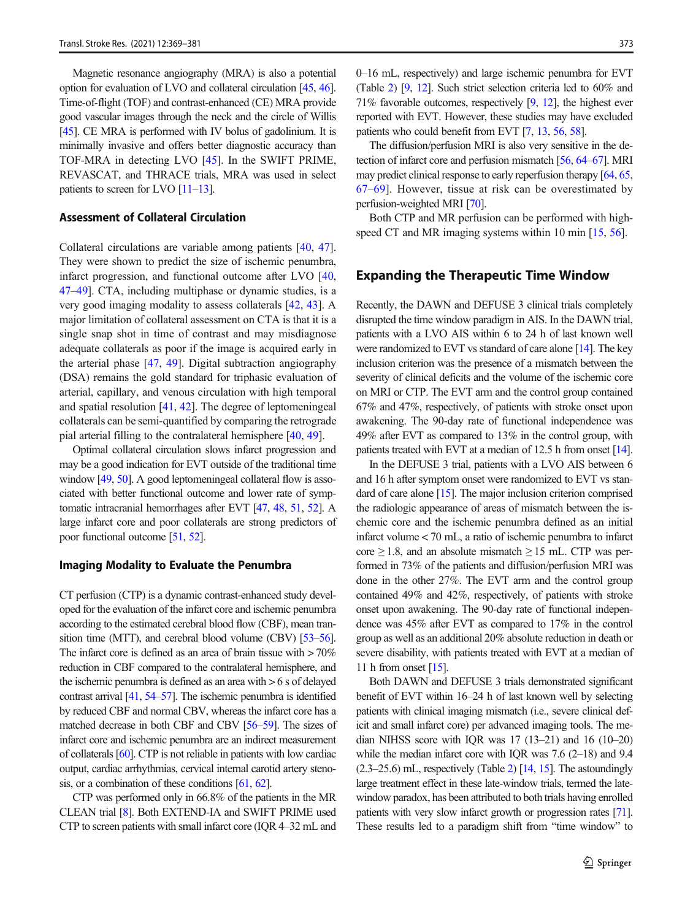Magnetic resonance angiography (MRA) is also a potential option for evaluation of LVO and collateral circulation [45, 46]. Time-of-flight (TOF) and contrast-enhanced (CE) MRA provide good vascular images through the neck and the circle of Willis [45]. CE MRA is performed with IV bolus of gadolinium. It is minimally invasive and offers better diagnostic accuracy than TOF-MRA in detecting LVO [45]. In the SWIFT PRIME, REVASCAT, and THRACE trials, MRA was used in select patients to screen for LVO  $[11-13]$ .

## Assessment of Collateral Circulation

Collateral circulations are variable among patients [40, 47]. They were shown to predict the size of ischemic penumbra, infarct progression, and functional outcome after LVO [40, 47–49]. CTA, including multiphase or dynamic studies, is a very good imaging modality to assess collaterals [42, 43]. A major limitation of collateral assessment on CTA is that it is a single snap shot in time of contrast and may misdiagnose adequate collaterals as poor if the image is acquired early in the arterial phase [47, 49]. Digital subtraction angiography (DSA) remains the gold standard for triphasic evaluation of arterial, capillary, and venous circulation with high temporal and spatial resolution [41, 42]. The degree of leptomeningeal collaterals can be semi-quantified by comparing the retrograde pial arterial filling to the contralateral hemisphere [40, 49].

Optimal collateral circulation slows infarct progression and may be a good indication for EVT outside of the traditional time window [49, 50]. A good leptomeningeal collateral flow is associated with better functional outcome and lower rate of symptomatic intracranial hemorrhages after EVT [47, 48, 51, 52]. A large infarct core and poor collaterals are strong predictors of poor functional outcome [51, 52].

#### Imaging Modality to Evaluate the Penumbra

CT perfusion (CTP) is a dynamic contrast-enhanced study developed for the evaluation of the infarct core and ischemic penumbra according to the estimated cerebral blood flow (CBF), mean transition time (MTT), and cerebral blood volume (CBV) [53–56]. The infarct core is defined as an area of brain tissue with  $>70\%$ reduction in CBF compared to the contralateral hemisphere, and the ischemic penumbra is defined as an area with > 6 s of delayed contrast arrival [41, 54–57]. The ischemic penumbra is identified by reduced CBF and normal CBV, whereas the infarct core has a matched decrease in both CBF and CBV [56–59]. The sizes of infarct core and ischemic penumbra are an indirect measurement of collaterals [60]. CTP is not reliable in patients with low cardiac output, cardiac arrhythmias, cervical internal carotid artery stenosis, or a combination of these conditions [61, 62].

CTP was performed only in 66.8% of the patients in the MR CLEAN trial [8]. Both EXTEND-IA and SWIFT PRIME used CTP to screen patients with small infarct core (IQR 4–32 mL and 0–16 mL, respectively) and large ischemic penumbra for EVT (Table 2) [9, 12]. Such strict selection criteria led to 60% and 71% favorable outcomes, respectively [9, 12], the highest ever reported with EVT. However, these studies may have excluded patients who could benefit from EVT [7, 13, 56, 58].

The diffusion/perfusion MRI is also very sensitive in the detection of infarct core and perfusion mismatch [56, 64–67]. MRI may predict clinical response to early reperfusion therapy [64, 65, 67–69]. However, tissue at risk can be overestimated by perfusion-weighted MRI [70].

Both CTP and MR perfusion can be performed with highspeed CT and MR imaging systems within 10 min [15, 56].

#### Expanding the Therapeutic Time Window

Recently, the DAWN and DEFUSE 3 clinical trials completely disrupted the time window paradigm in AIS. In the DAWN trial, patients with a LVO AIS within 6 to 24 h of last known well were randomized to EVT vs standard of care alone [14]. The key inclusion criterion was the presence of a mismatch between the severity of clinical deficits and the volume of the ischemic core on MRI or CTP. The EVT arm and the control group contained 67% and 47%, respectively, of patients with stroke onset upon awakening. The 90-day rate of functional independence was 49% after EVT as compared to 13% in the control group, with patients treated with EVT at a median of 12.5 h from onset [14].

In the DEFUSE 3 trial, patients with a LVO AIS between 6 and 16 h after symptom onset were randomized to EVT vs standard of care alone [15]. The major inclusion criterion comprised the radiologic appearance of areas of mismatch between the ischemic core and the ischemic penumbra defined as an initial infarct volume < 70 mL, a ratio of ischemic penumbra to infarct core  $\geq$  1.8, and an absolute mismatch  $\geq$  15 mL. CTP was performed in 73% of the patients and diffusion/perfusion MRI was done in the other 27%. The EVT arm and the control group contained 49% and 42%, respectively, of patients with stroke onset upon awakening. The 90-day rate of functional independence was 45% after EVT as compared to 17% in the control group as well as an additional 20% absolute reduction in death or severe disability, with patients treated with EVT at a median of 11 h from onset [15].

Both DAWN and DEFUSE 3 trials demonstrated significant benefit of EVT within 16–24 h of last known well by selecting patients with clinical imaging mismatch (i.e., severe clinical deficit and small infarct core) per advanced imaging tools. The median NIHSS score with IQR was 17 (13–21) and 16 (10–20) while the median infarct core with IQR was 7.6 (2–18) and 9.4 (2.3–25.6) mL, respectively (Table 2) [14, 15]. The astoundingly large treatment effect in these late-window trials, termed the latewindow paradox, has been attributed to both trials having enrolled patients with very slow infarct growth or progression rates [71]. These results led to a paradigm shift from "time window" to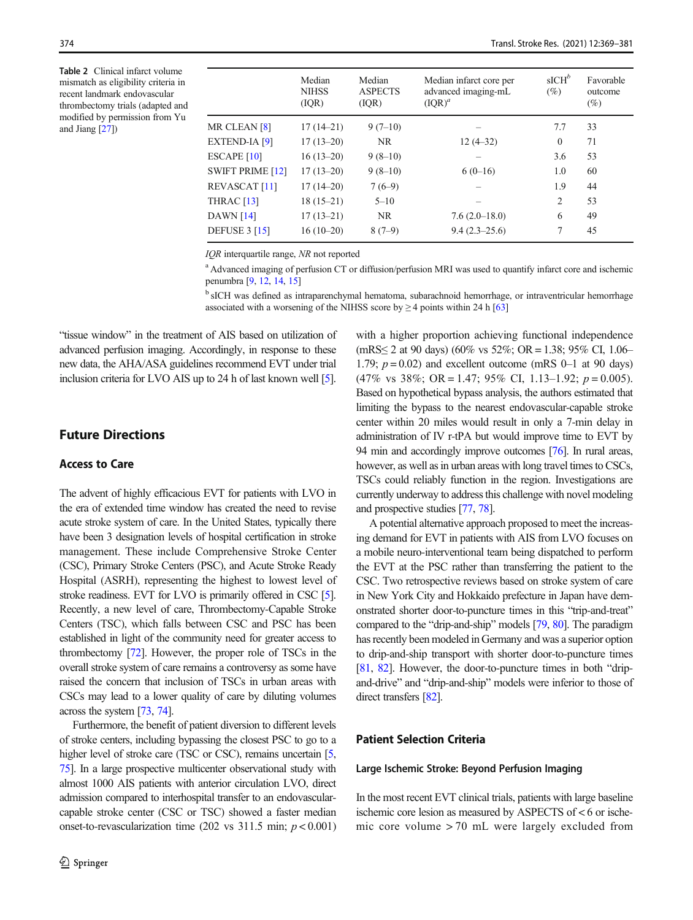Table 2 Clinical infarct volume mismatch as eligibility criteria in recent landmark endovascular thrombectomy trials (adapted and modified by permission from Yu and Jiang [27])

|                         | Median<br><b>NIHSS</b><br>(IOR) | Median<br><b>ASPECTS</b><br>( IQR) | Median infarct core per<br>advanced imaging-mL<br>$(IQR)^{a}$ | $sICH^b$<br>$(\%)$ | Favorable<br>outcome<br>$(\%)$ |
|-------------------------|---------------------------------|------------------------------------|---------------------------------------------------------------|--------------------|--------------------------------|
| MR CLEAN [8]            | $17(14-21)$                     | $9(7-10)$                          |                                                               | 7.7                | 33                             |
| <b>EXTEND-IA [9]</b>    | $17(13-20)$                     | NR.                                | $12(4-32)$                                                    | $\Omega$           | 71                             |
| ESCAPE <sub>[10]</sub>  | $16(13-20)$                     | $9(8-10)$                          |                                                               | 3.6                | 53                             |
| <b>SWIFT PRIME [12]</b> | $17(13-20)$                     | $9(8-10)$                          | $6(0-16)$                                                     | 1.0                | 60                             |
| <b>REVASCAT</b> [11]    | $17(14-20)$                     | $7(6-9)$                           |                                                               | 1.9                | 44                             |
| THRAC $[13]$            | $18(15-21)$                     | $5 - 10$                           |                                                               | 2                  | 53                             |
| <b>DAWN</b> [14]        | $17(13-21)$                     | NR.                                | $7.6(2.0-18.0)$                                               | 6                  | 49                             |
| <b>DEFUSE 3 [15]</b>    | $16(10-20)$                     | $8(7-9)$                           | $9.4(2.3-25.6)$                                               | $\tau$             | 45                             |

IQR interquartile range, NR not reported

<sup>a</sup> Advanced imaging of perfusion CT or diffusion/perfusion MRI was used to quantify infarct core and ischemic penumbra [9, 12, 14, 15]

<sup>b</sup> sICH was defined as intraparenchymal hematoma, subarachnoid hemorrhage, or intraventricular hemorrhage associated with a worsening of the NIHSS score by  $\geq$  4 points within 24 h [63]

"tissue window" in the treatment of AIS based on utilization of advanced perfusion imaging. Accordingly, in response to these new data, the AHA/ASA guidelines recommend EVT under trial inclusion criteria for LVO AIS up to 24 h of last known well [5].

## Future Directions

## Access to Care

The advent of highly efficacious EVT for patients with LVO in the era of extended time window has created the need to revise acute stroke system of care. In the United States, typically there have been 3 designation levels of hospital certification in stroke management. These include Comprehensive Stroke Center (CSC), Primary Stroke Centers (PSC), and Acute Stroke Ready Hospital (ASRH), representing the highest to lowest level of stroke readiness. EVT for LVO is primarily offered in CSC [5]. Recently, a new level of care, Thrombectomy-Capable Stroke Centers (TSC), which falls between CSC and PSC has been established in light of the community need for greater access to thrombectomy [72]. However, the proper role of TSCs in the overall stroke system of care remains a controversy as some have raised the concern that inclusion of TSCs in urban areas with CSCs may lead to a lower quality of care by diluting volumes across the system [73, 74].

Furthermore, the benefit of patient diversion to different levels of stroke centers, including bypassing the closest PSC to go to a higher level of stroke care (TSC or CSC), remains uncertain [5, 75]. In a large prospective multicenter observational study with almost 1000 AIS patients with anterior circulation LVO, direct admission compared to interhospital transfer to an endovascularcapable stroke center (CSC or TSC) showed a faster median onset-to-revascularization time (202 vs  $311.5$  min;  $p < 0.001$ ) with a higher proportion achieving functional independence (mRS≤ 2 at 90 days) (60% vs 52%; OR = 1.38; 95% CI, 1.06– 1.79;  $p = 0.02$ ) and excellent outcome (mRS 0–1 at 90 days)  $(47\% \text{ vs } 38\%; \text{ OR} = 1.47; 95\% \text{ CI}, 1.13-1.92; p = 0.005).$ Based on hypothetical bypass analysis, the authors estimated that limiting the bypass to the nearest endovascular-capable stroke center within 20 miles would result in only a 7-min delay in administration of IV r-tPA but would improve time to EVT by 94 min and accordingly improve outcomes [76]. In rural areas, however, as well as in urban areas with long travel times to CSCs, TSCs could reliably function in the region. Investigations are currently underway to address this challenge with novel modeling and prospective studies [77, 78].

A potential alternative approach proposed to meet the increasing demand for EVT in patients with AIS from LVO focuses on a mobile neuro-interventional team being dispatched to perform the EVT at the PSC rather than transferring the patient to the CSC. Two retrospective reviews based on stroke system of care in New York City and Hokkaido prefecture in Japan have demonstrated shorter door-to-puncture times in this "trip-and-treat" compared to the "drip-and-ship" models [79, 80]. The paradigm has recently been modeled in Germany and was a superior option to drip-and-ship transport with shorter door-to-puncture times [81, 82]. However, the door-to-puncture times in both "dripand-drive" and "drip-and-ship" models were inferior to those of direct transfers [82].

## Patient Selection Criteria

#### Large Ischemic Stroke: Beyond Perfusion Imaging

In the most recent EVT clinical trials, patients with large baseline ischemic core lesion as measured by ASPECTS of < 6 or ischemic core volume > 70 mL were largely excluded from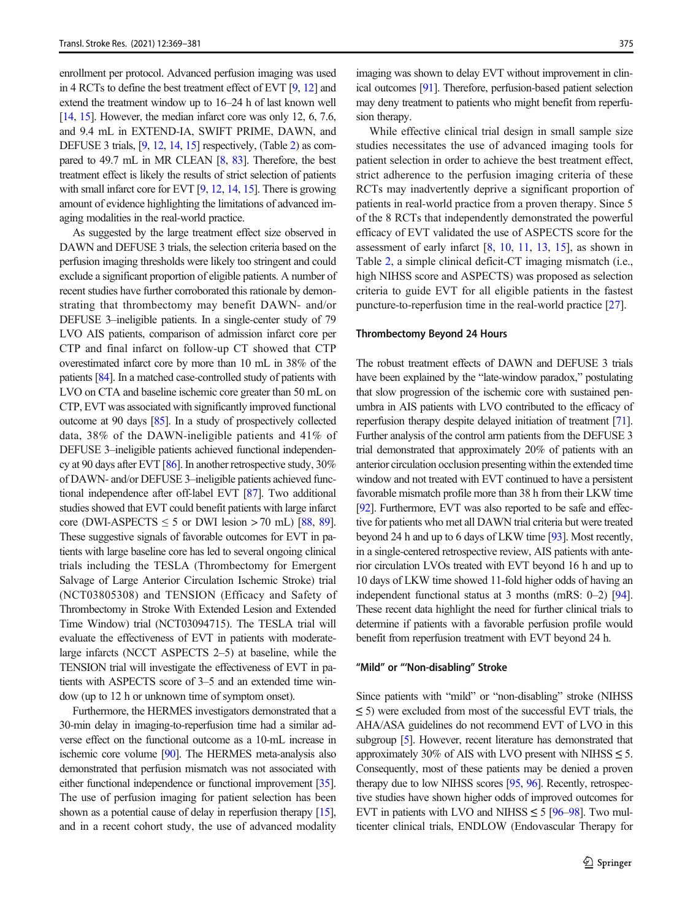enrollment per protocol. Advanced perfusion imaging was used in 4 RCTs to define the best treatment effect of EVT [9, 12] and extend the treatment window up to 16–24 h of last known well [14, 15]. However, the median infarct core was only 12, 6, 7.6, and 9.4 mL in EXTEND-IA, SWIFT PRIME, DAWN, and DEFUSE 3 trials, [9, 12, 14, 15] respectively, (Table 2) as compared to 49.7 mL in MR CLEAN [8, 83]. Therefore, the best treatment effect is likely the results of strict selection of patients with small infarct core for EVT [9, 12, 14, 15]. There is growing amount of evidence highlighting the limitations of advanced imaging modalities in the real-world practice.

As suggested by the large treatment effect size observed in DAWN and DEFUSE 3 trials, the selection criteria based on the perfusion imaging thresholds were likely too stringent and could exclude a significant proportion of eligible patients. A number of recent studies have further corroborated this rationale by demonstrating that thrombectomy may benefit DAWN- and/or DEFUSE 3–ineligible patients. In a single-center study of 79 LVO AIS patients, comparison of admission infarct core per CTP and final infarct on follow-up CT showed that CTP overestimated infarct core by more than 10 mL in 38% of the patients [84]. In a matched case-controlled study of patients with LVO on CTA and baseline ischemic core greater than 50 mL on CTP, EVT was associated with significantly improved functional outcome at 90 days [85]. In a study of prospectively collected data, 38% of the DAWN-ineligible patients and 41% of DEFUSE 3–ineligible patients achieved functional independency at 90 days after EVT [86]. In another retrospective study, 30% of DAWN- and/or DEFUSE 3–ineligible patients achieved functional independence after off-label EVT [87]. Two additional studies showed that EVT could benefit patients with large infarct core (DWI-ASPECTS  $\leq$  5 or DWI lesion > 70 mL) [88, 89]. These suggestive signals of favorable outcomes for EVT in patients with large baseline core has led to several ongoing clinical trials including the TESLA (Thrombectomy for Emergent Salvage of Large Anterior Circulation Ischemic Stroke) trial (NCT03805308) and TENSION (Efficacy and Safety of Thrombectomy in Stroke With Extended Lesion and Extended Time Window) trial (NCT03094715). The TESLA trial will evaluate the effectiveness of EVT in patients with moderatelarge infarcts (NCCT ASPECTS 2–5) at baseline, while the TENSION trial will investigate the effectiveness of EVT in patients with ASPECTS score of 3–5 and an extended time window (up to 12 h or unknown time of symptom onset).

Furthermore, the HERMES investigators demonstrated that a 30-min delay in imaging-to-reperfusion time had a similar adverse effect on the functional outcome as a 10-mL increase in ischemic core volume [90]. The HERMES meta-analysis also demonstrated that perfusion mismatch was not associated with either functional independence or functional improvement [35]. The use of perfusion imaging for patient selection has been shown as a potential cause of delay in reperfusion therapy [15], and in a recent cohort study, the use of advanced modality

imaging was shown to delay EVT without improvement in clinical outcomes [91]. Therefore, perfusion-based patient selection may deny treatment to patients who might benefit from reperfusion therapy.

While effective clinical trial design in small sample size studies necessitates the use of advanced imaging tools for patient selection in order to achieve the best treatment effect, strict adherence to the perfusion imaging criteria of these RCTs may inadvertently deprive a significant proportion of patients in real-world practice from a proven therapy. Since 5 of the 8 RCTs that independently demonstrated the powerful efficacy of EVT validated the use of ASPECTS score for the assessment of early infarct [8, 10, 11, 13, 15], as shown in Table 2, a simple clinical deficit-CT imaging mismatch (i.e., high NIHSS score and ASPECTS) was proposed as selection criteria to guide EVT for all eligible patients in the fastest puncture-to-reperfusion time in the real-world practice [27].

#### Thrombectomy Beyond 24 Hours

The robust treatment effects of DAWN and DEFUSE 3 trials have been explained by the "late-window paradox," postulating that slow progression of the ischemic core with sustained penumbra in AIS patients with LVO contributed to the efficacy of reperfusion therapy despite delayed initiation of treatment [71]. Further analysis of the control arm patients from the DEFUSE 3 trial demonstrated that approximately 20% of patients with an anterior circulation occlusion presenting within the extended time window and not treated with EVT continued to have a persistent favorable mismatch profile more than 38 h from their LKW time [92]. Furthermore, EVT was also reported to be safe and effective for patients who met all DAWN trial criteria but were treated beyond 24 h and up to 6 days of LKW time [93]. Most recently, in a single-centered retrospective review, AIS patients with anterior circulation LVOs treated with EVT beyond 16 h and up to 10 days of LKW time showed 11-fold higher odds of having an independent functional status at 3 months (mRS: 0–2) [94]. These recent data highlight the need for further clinical trials to determine if patients with a favorable perfusion profile would benefit from reperfusion treatment with EVT beyond 24 h.

#### "Mild" or "'Non-disabling" Stroke

Since patients with "mild" or "non-disabling" stroke (NIHSS  $\leq$  5) were excluded from most of the successful EVT trials, the AHA/ASA guidelines do not recommend EVT of LVO in this subgroup [5]. However, recent literature has demonstrated that approximately 30% of AIS with LVO present with NIHSS  $\leq$  5. Consequently, most of these patients may be denied a proven therapy due to low NIHSS scores [95, 96]. Recently, retrospective studies have shown higher odds of improved outcomes for EVT in patients with LVO and NIHSS  $\leq$  5 [96–98]. Two multicenter clinical trials, ENDLOW (Endovascular Therapy for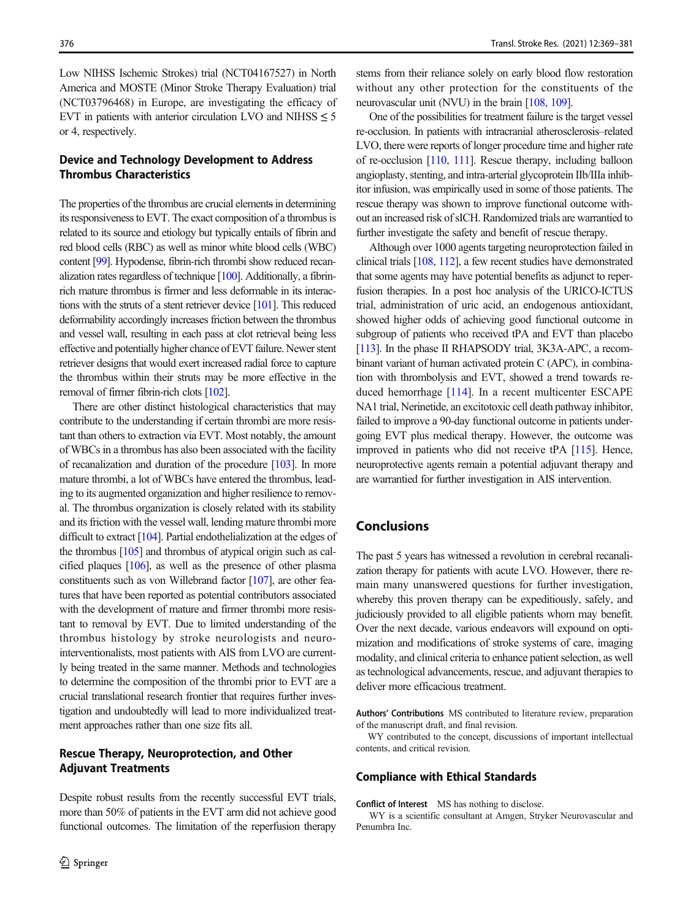Low NIHSS Ischemic Strokes) trial (NCT04167527) in North America and MOSTE (Minor Stroke Therapy Evaluation) trial (NCT03796468) in Europe, are investigating the efficacy of EVT in patients with anterior circulation LVO and NIHSS  $\leq 5$ or 4, respectively.

# Device and Technology Development to Address Thrombus Characteristics

The properties of the thrombus are crucial elements in determining its responsiveness to EVT. The exact composition of a thrombus is related to its source and etiology but typically entails of fibrin and red blood cells (RBC) as well as minor white blood cells (WBC) content [99]. Hypodense, fibrin-rich thrombi show reduced recanalization rates regardless of technique [100]. Additionally, a fibrinrich mature thrombus is firmer and less deformable in its interactions with the struts of a stent retriever device [101]. This reduced deformability accordingly increases friction between the thrombus and vessel wall, resulting in each pass at clot retrieval being less effective and potentially higher chance of EVT failure. Newer stent retriever designs that would exert increased radial force to capture the thrombus within their struts may be more effective in the removal of firmer fibrin-rich clots [102].

There are other distinct histological characteristics that may contribute to the understanding if certain thrombi are more resistant than others to extraction via EVT. Most notably, the amount of WBCs in a thrombus has also been associated with the facility of recanalization and duration of the procedure [103]. In more mature thrombi, a lot of WBCs have entered the thrombus, leading to its augmented organization and higher resilience to removal. The thrombus organization is closely related with its stability and its friction with the vessel wall, lending mature thrombi more difficult to extract [104]. Partial endothelialization at the edges of the thrombus [105] and thrombus of atypical origin such as calcified plaques [106], as well as the presence of other plasma constituents such as von Willebrand factor [107], are other features that have been reported as potential contributors associated with the development of mature and firmer thrombi more resistant to removal by EVT. Due to limited understanding of the thrombus histology by stroke neurologists and neurointerventionalists, most patients with AIS from LVO are currently being treated in the same manner. Methods and technologies to determine the composition of the thrombi prior to EVT are a crucial translational research frontier that requires further investigation and undoubtedly will lead to more individualized treatment approaches rather than one size fits all.

## Rescue Therapy, Neuroprotection, and Other Adjuvant Treatments

Despite robust results from the recently successful EVT trials, more than 50% of patients in the EVT arm did not achieve good functional outcomes. The limitation of the reperfusion therapy stems from their reliance solely on early blood flow restoration without any other protection for the constituents of the neurovascular unit (NVU) in the brain [108, 109].

One of the possibilities for treatment failure is the target vessel re-occlusion. In patients with intracranial atherosclerosis–related LVO, there were reports of longer procedure time and higher rate of re-occlusion [110, 111]. Rescue therapy, including balloon angioplasty, stenting, and intra-arterial glycoprotein IIb/IIIa inhibitor infusion, was empirically used in some of those patients. The rescue therapy was shown to improve functional outcome without an increased risk of sICH. Randomized trials are warrantied to further investigate the safety and benefit of rescue therapy.

Although over 1000 agents targeting neuroprotection failed in clinical trials [108, 112], a few recent studies have demonstrated that some agents may have potential benefits as adjunct to reperfusion therapies. In a post hoc analysis of the URICO-ICTUS trial, administration of uric acid, an endogenous antioxidant, showed higher odds of achieving good functional outcome in subgroup of patients who received tPA and EVT than placebo [113]. In the phase II RHAPSODY trial, 3K3A-APC, a recombinant variant of human activated protein C (APC), in combination with thrombolysis and EVT, showed a trend towards reduced hemorrhage [114]. In a recent multicenter ESCAPE NA1 trial, Nerinetide, an excitotoxic cell death pathway inhibitor, failed to improve a 90-day functional outcome in patients undergoing EVT plus medical therapy. However, the outcome was improved in patients who did not receive tPA [115]. Hence, neuroprotective agents remain a potential adjuvant therapy and are warrantied for further investigation in AIS intervention.

# Conclusions

The past 5 years has witnessed a revolution in cerebral recanalization therapy for patients with acute LVO. However, there remain many unanswered questions for further investigation, whereby this proven therapy can be expeditiously, safely, and judiciously provided to all eligible patients whom may benefit. Over the next decade, various endeavors will expound on optimization and modifications of stroke systems of care, imaging modality, and clinical criteria to enhance patient selection, as well as technological advancements, rescue, and adjuvant therapies to deliver more efficacious treatment.

Authors' Contributions MS contributed to literature review, preparation of the manuscript draft, and final revision.

WY contributed to the concept, discussions of important intellectual contents, and critical revision.

#### Compliance with Ethical Standards

Conflict of Interest MS has nothing to disclose.

WY is a scientific consultant at Amgen, Stryker Neurovascular and Penumbra Inc.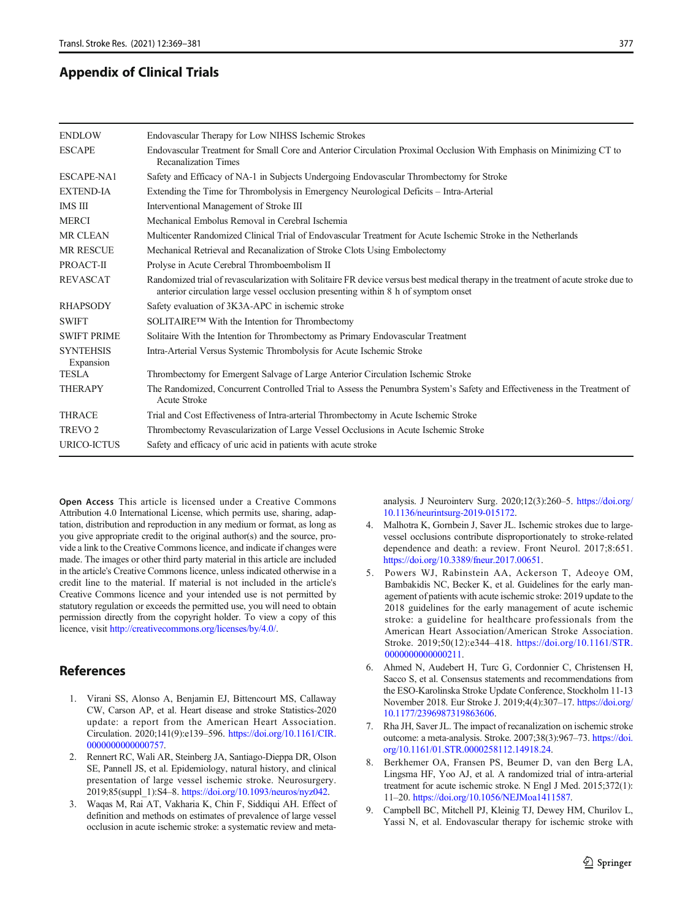# <span id="page-8-0"></span>Appendix of Clinical Trials

| <b>ENDLOW</b>                 | Endovascular Therapy for Low NIHSS Ischemic Strokes                                                                                                                                                                      |  |  |
|-------------------------------|--------------------------------------------------------------------------------------------------------------------------------------------------------------------------------------------------------------------------|--|--|
| <b>ESCAPE</b>                 | Endovascular Treatment for Small Core and Anterior Circulation Proximal Occlusion With Emphasis on Minimizing CT to<br><b>Recanalization Times</b>                                                                       |  |  |
| ESCAPE-NA1                    | Safety and Efficacy of NA-1 in Subjects Undergoing Endovascular Thrombectomy for Stroke                                                                                                                                  |  |  |
| <b>EXTEND-IA</b>              | Extending the Time for Thrombolysis in Emergency Neurological Deficits – Intra-Arterial                                                                                                                                  |  |  |
| IMS III                       | Interventional Management of Stroke III                                                                                                                                                                                  |  |  |
| <b>MERCI</b>                  | Mechanical Embolus Removal in Cerebral Ischemia                                                                                                                                                                          |  |  |
| <b>MR CLEAN</b>               | Multicenter Randomized Clinical Trial of Endovascular Treatment for Acute Ischemic Stroke in the Netherlands                                                                                                             |  |  |
| <b>MR RESCUE</b>              | Mechanical Retrieval and Recanalization of Stroke Clots Using Embolectomy                                                                                                                                                |  |  |
| PROACT-II                     | Prolyse in Acute Cerebral Thromboembolism II                                                                                                                                                                             |  |  |
| <b>REVASCAT</b>               | Randomized trial of revascularization with Solitaire FR device versus best medical therapy in the treatment of acute stroke due to<br>anterior circulation large vessel occlusion presenting within 8 h of symptom onset |  |  |
| <b>RHAPSODY</b>               | Safety evaluation of 3K3A-APC in ischemic stroke                                                                                                                                                                         |  |  |
| <b>SWIFT</b>                  | SOLITAIRE™ With the Intention for Thrombectomy                                                                                                                                                                           |  |  |
| <b>SWIFT PRIME</b>            | Solitaire With the Intention for Thrombectomy as Primary Endovascular Treatment                                                                                                                                          |  |  |
| <b>SYNTEHSIS</b><br>Expansion | Intra-Arterial Versus Systemic Thrombolysis for Acute Ischemic Stroke                                                                                                                                                    |  |  |
| <b>TESLA</b>                  | Thrombectomy for Emergent Salvage of Large Anterior Circulation Ischemic Stroke                                                                                                                                          |  |  |
| <b>THERAPY</b>                | The Randomized, Concurrent Controlled Trial to Assess the Penumbra System's Safety and Effectiveness in the Treatment of<br><b>Acute Stroke</b>                                                                          |  |  |
| <b>THRACE</b>                 | Trial and Cost Effectiveness of Intra-arterial Thrombectomy in Acute Ischemic Stroke                                                                                                                                     |  |  |
| <b>TREVO 2</b>                | Thrombectomy Revascularization of Large Vessel Occlusions in Acute Ischemic Stroke                                                                                                                                       |  |  |
| URICO-ICTUS                   | Safety and efficacy of uric acid in patients with acute stroke                                                                                                                                                           |  |  |

Open Access This article is licensed under a Creative Commons Attribution 4.0 International License, which permits use, sharing, adaptation, distribution and reproduction in any medium or format, as long as you give appropriate credit to the original author(s) and the source, provide a link to the Creative Commons licence, and indicate if changes were made. The images or other third party material in this article are included in the article's Creative Commons licence, unless indicated otherwise in a credit line to the material. If material is not included in the article's Creative Commons licence and your intended use is not permitted by statutory regulation or exceeds the permitted use, you will need to obtain permission directly from the copyright holder. To view a copy of this licence, visit http://creativecommons.org/licenses/by/4.0/.

# References

- 1. Virani SS, Alonso A, Benjamin EJ, Bittencourt MS, Callaway CW, Carson AP, et al. Heart disease and stroke Statistics-2020 update: a report from the American Heart Association. Circulation. 2020;141(9):e139–596. https://doi.org/10.1161/CIR. 0000000000000757.
- 2. Rennert RC, Wali AR, Steinberg JA, Santiago-Dieppa DR, Olson SE, Pannell JS, et al. Epidemiology, natural history, and clinical presentation of large vessel ischemic stroke. Neurosurgery. 2019;85(suppl\_1):S4–8. https://doi.org/10.1093/neuros/nyz042.
- 3. Waqas M, Rai AT, Vakharia K, Chin F, Siddiqui AH. Effect of definition and methods on estimates of prevalence of large vessel occlusion in acute ischemic stroke: a systematic review and meta-

analysis. J Neurointerv Surg. 2020;12(3):260–5. https://doi.org/ 10.1136/neurintsurg-2019-015172.

- 4. Malhotra K, Gornbein J, Saver JL. Ischemic strokes due to largevessel occlusions contribute disproportionately to stroke-related dependence and death: a review. Front Neurol. 2017;8:651. https://doi.org/10.3389/fneur.2017.00651.
- 5. Powers WJ, Rabinstein AA, Ackerson T, Adeoye OM, Bambakidis NC, Becker K, et al. Guidelines for the early management of patients with acute ischemic stroke: 2019 update to the 2018 guidelines for the early management of acute ischemic stroke: a guideline for healthcare professionals from the American Heart Association/American Stroke Association. Stroke. 2019;50(12):e344–418. https://doi.org/10.1161/STR. 0000000000000211.
- 6. Ahmed N, Audebert H, Turc G, Cordonnier C, Christensen H, Sacco S, et al. Consensus statements and recommendations from the ESO-Karolinska Stroke Update Conference, Stockholm 11-13 November 2018. Eur Stroke J. 2019;4(4):307–17. https://doi.org/ 10.1177/2396987319863606.
- 7. Rha JH, Saver JL. The impact of recanalization on ischemic stroke outcome: a meta-analysis. Stroke. 2007;38(3):967–73. https://doi. org/10.1161/01.STR.0000258112.14918.24.
- 8. Berkhemer OA, Fransen PS, Beumer D, van den Berg LA, Lingsma HF, Yoo AJ, et al. A randomized trial of intra-arterial treatment for acute ischemic stroke. N Engl J Med. 2015;372(1): 11–20. https://doi.org/10.1056/NEJMoa1411587.
- 9. Campbell BC, Mitchell PJ, Kleinig TJ, Dewey HM, Churilov L, Yassi N, et al. Endovascular therapy for ischemic stroke with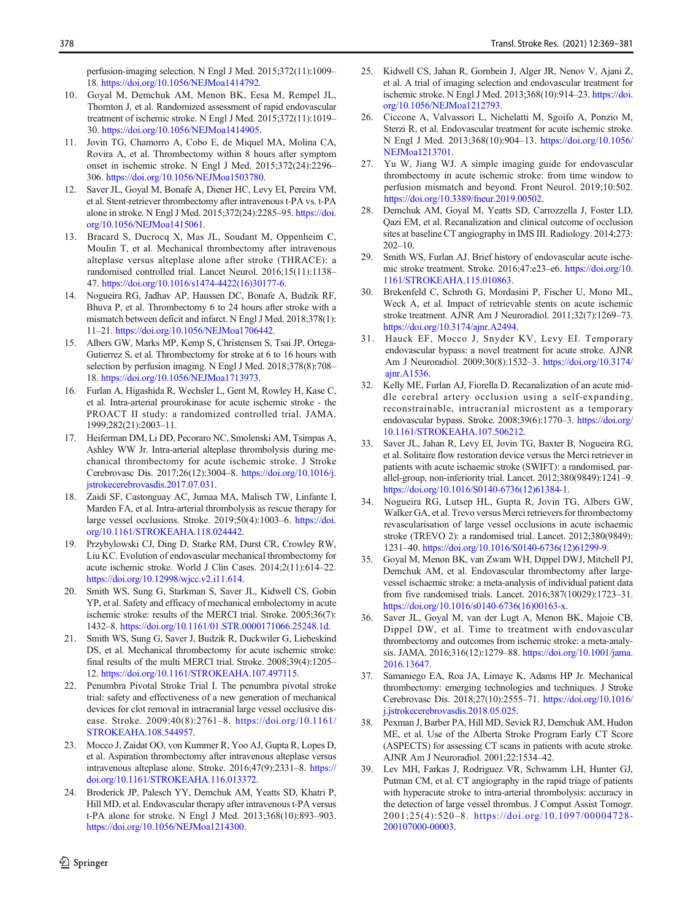<span id="page-9-0"></span>perfusion-imaging selection. N Engl J Med. 2015;372(11):1009– 18. https://doi.org/10.1056/NEJMoa1414792.

- 10. Goyal M, Demchuk AM, Menon BK, Eesa M, Rempel JL, Thornton J, et al. Randomized assessment of rapid endovascular treatment of ischemic stroke. N Engl J Med. 2015;372(11):1019– 30. https://doi.org/10.1056/NEJMoa1414905.
- 11. Jovin TG, Chamorro A, Cobo E, de Miquel MA, Molina CA, Rovira A, et al. Thrombectomy within 8 hours after symptom onset in ischemic stroke. N Engl J Med. 2015;372(24):2296– 306. https://doi.org/10.1056/NEJMoa1503780.
- 12. Saver JL, Goyal M, Bonafe A, Diener HC, Levy EI, Pereira VM, et al. Stent-retriever thrombectomy after intravenous t-PA vs. t-PA alone in stroke. N Engl J Med. 2015;372(24):2285–95. https://doi. org/10.1056/NEJMoa1415061.
- 13. Bracard S, Ducrocq X, Mas JL, Soudant M, Oppenheim C, Moulin T, et al. Mechanical thrombectomy after intravenous alteplase versus alteplase alone after stroke (THRACE): a randomised controlled trial. Lancet Neurol. 2016;15(11):1138– 47. https://doi.org/10.1016/s1474-4422(16)30177-6.
- 14. Nogueira RG, Jadhav AP, Haussen DC, Bonafe A, Budzik RF, Bhuva P, et al. Thrombectomy 6 to 24 hours after stroke with a mismatch between deficit and infarct. N Engl J Med. 2018;378(1): 11–21. https://doi.org/10.1056/NEJMoa1706442.
- 15. Albers GW, Marks MP, Kemp S, Christensen S, Tsai JP, Ortega-Gutierrez S, et al. Thrombectomy for stroke at 6 to 16 hours with selection by perfusion imaging. N Engl J Med. 2018;378(8):708– 18. https://doi.org/10.1056/NEJMoa1713973.
- 16. Furlan A, Higashida R, Wechsler L, Gent M, Rowley H, Kase C, et al. Intra-arterial prourokinase for acute ischemic stroke - the PROACT II study: a randomized controlled trial. JAMA. 1999;282(21):2003–11.
- 17. Heiferman DM, Li DD, Pecoraro NC, Smolenski AM, Tsimpas A, Ashley WW Jr. Intra-arterial alteplase thrombolysis during mechanical thrombectomy for acute ischemic stroke. J Stroke Cerebrovasc Dis. 2017;26(12):3004–8. https://doi.org/10.1016/j. jstrokecerebrovasdis.2017.07.031.
- 18. Zaidi SF, Castonguay AC, Jumaa MA, Malisch TW, Linfante I, Marden FA, et al. Intra-arterial thrombolysis as rescue therapy for large vessel occlusions. Stroke. 2019;50(4):1003–6. https://doi. org/10.1161/STROKEAHA.118.024442.
- 19. Przybylowski CJ, Ding D, Starke RM, Durst CR, Crowley RW, Liu KC. Evolution of endovascular mechanical thrombectomy for acute ischemic stroke. World J Clin Cases. 2014;2(11):614–22. https://doi.org/10.12998/wjcc.v2.i11.614.
- 20. Smith WS, Sung G, Starkman S, Saver JL, Kidwell CS, Gobin YP, et al. Safety and efficacy of mechanical embolectomy in acute ischemic stroke: results of the MERCI trial. Stroke. 2005;36(7): 1432–8. https://doi.org/10.1161/01.STR.0000171066.25248.1d.
- 21. Smith WS, Sung G, Saver J, Budzik R, Duckwiler G, Liebeskind DS, et al. Mechanical thrombectomy for acute ischemic stroke: final results of the multi MERCI trial. Stroke. 2008;39(4):1205– 12. https://doi.org/10.1161/STROKEAHA.107.497115.
- 22. Penumbra Pivotal Stroke Trial I. The penumbra pivotal stroke trial: safety and effectiveness of a new generation of mechanical devices for clot removal in intracranial large vessel occlusive disease. Stroke. 2009;40(8):2761–8. https://doi.org/10.1161/ STROKEAHA.108.544957.
- 23. Mocco J, Zaidat OO, von Kummer R, Yoo AJ, Gupta R, Lopes D, et al. Aspiration thrombectomy after intravenous alteplase versus intravenous alteplase alone. Stroke. 2016;47(9):2331–8. https:// doi.org/10.1161/STROKEAHA.116.013372.
- 24. Broderick JP, Palesch YY, Demchuk AM, Yeatts SD, Khatri P, Hill MD, et al. Endovascular therapy after intravenous t-PA versus t-PA alone for stroke. N Engl J Med. 2013;368(10):893–903. https://doi.org/10.1056/NEJMoa1214300.
- 25. Kidwell CS, Jahan R, Gornbein J, Alger JR, Nenov V, Ajani Z, et al. A trial of imaging selection and endovascular treatment for ischemic stroke. N Engl J Med. 2013;368(10):914–23. https://doi. org/10.1056/NEJMoa1212793.
- 26. Ciccone A, Valvassori L, Nichelatti M, Sgoifo A, Ponzio M, Sterzi R, et al. Endovascular treatment for acute ischemic stroke. N Engl J Med. 2013;368(10):904–13. https://doi.org/10.1056/ NEJMoa1213701.
- 27. Yu W, Jiang WJ. A simple imaging guide for endovascular thrombectomy in acute ischemic stroke: from time window to perfusion mismatch and beyond. Front Neurol. 2019;10:502. https://doi.org/10.3389/fneur.2019.00502.
- 28. Demchuk AM, Goyal M, Yeatts SD, Carrozzella J, Foster LD, Qazi EM, et al. Recanalization and clinical outcome of occlusion sites at baseline CT angiography in IMS III. Radiology. 2014;273: 202–10.
- 29. Smith WS, Furlan AJ. Brief history of endovascular acute ischemic stroke treatment. Stroke. 2016;47:e23–e6. https://doi.org/10. 1161/STROKEAHA.115.010863.
- 30. Brekenfeld C, Schroth G, Mordasini P, Fischer U, Mono ML, Weck A, et al. Impact of retrievable stents on acute ischemic stroke treatment. AJNR Am J Neuroradiol. 2011;32(7):1269–73. https://doi.org/10.3174/ajnr.A2494.
- 31. Hauck EF, Mocco J, Snyder KV, Levy EI. Temporary endovascular bypass: a novel treatment for acute stroke. AJNR Am J Neuroradiol. 2009;30(8):1532–3. https://doi.org/10.3174/ ajnr.A1536.
- 32. Kelly ME, Furlan AJ, Fiorella D. Recanalization of an acute middle cerebral artery occlusion using a self-expanding, reconstrainable, intracranial microstent as a temporary endovascular bypass. Stroke. 2008;39(6):1770–3. https://doi.org/ 10.1161/STROKEAHA.107.506212.
- 33. Saver JL, Jahan R, Levy EI, Jovin TG, Baxter B, Nogueira RG, et al. Solitaire flow restoration device versus the Merci retriever in patients with acute ischaemic stroke (SWIFT): a randomised, parallel-group, non-inferiority trial. Lancet. 2012;380(9849):1241–9. https://doi.org/10.1016/S0140-6736(12)61384-1.
- 34. Nogueira RG, Lutsep HL, Gupta R, Jovin TG, Albers GW, Walker GA, et al. Trevo versus Merci retrievers for thrombectomy revascularisation of large vessel occlusions in acute ischaemic stroke (TREVO 2): a randomised trial. Lancet. 2012;380(9849): 1231–40. https://doi.org/10.1016/S0140-6736(12)61299-9.
- 35. Goyal M, Menon BK, van Zwam WH, Dippel DWJ, Mitchell PJ, Demchuk AM, et al. Endovascular thrombectomy after largevessel ischaemic stroke: a meta-analysis of individual patient data from five randomised trials. Lancet. 2016;387(10029):1723–31. https://doi.org/10.1016/s0140-6736(16)00163-x.
- 36. Saver JL, Goyal M, van der Lugt A, Menon BK, Majoie CB, Dippel DW, et al. Time to treatment with endovascular thrombectomy and outcomes from ischemic stroke: a meta-analysis. JAMA. 2016;316(12):1279–88. https://doi.org/10.1001/jama. 2016.13647.
- 37. Samaniego EA, Roa JA, Limaye K, Adams HP Jr. Mechanical thrombectomy: emerging technologies and techniques. J Stroke Cerebrovasc Dis. 2018;27(10):2555–71. https://doi.org/10.1016/ j.jstrokecerebrovasdis.2018.05.025.
- 38. Pexman J, Barber PA, Hill MD, Sevick RJ, Demchuk AM, Hudon ME, et al. Use of the Alberta Stroke Program Early CT Score (ASPECTS) for assessing CT scans in patients with acute stroke. AJNR Am J Neuroradiol. 2001;22:1534–42.
- 39. Lev MH, Farkas J, Rodriguez VR, Schwamm LH, Hunter GJ, Putman CM, et al. CT angiography in the rapid triage of patients with hyperacute stroke to intra-arterial thrombolysis: accuracy in the detection of large vessel thrombus. J Comput Assist Tomogr. 2001;25(4):520–8. https://doi.org/10.1097/00004728- 200107000-00003.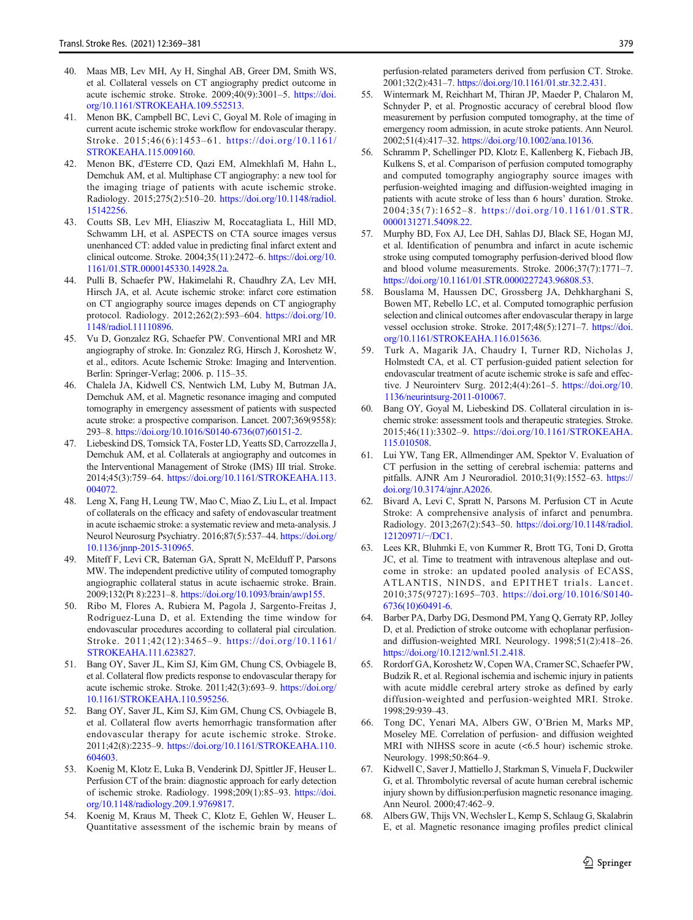- 40. Maas MB, Lev MH, Ay H, Singhal AB, Greer DM, Smith WS, et al. Collateral vessels on CT angiography predict outcome in acute ischemic stroke. Stroke. 2009;40(9):3001–5. https://doi. org/10.1161/STROKEAHA.109.552513.
- 41. Menon BK, Campbell BC, Levi C, Goyal M. Role of imaging in current acute ischemic stroke workflow for endovascular therapy. Stroke. 2015;46(6):1453–61. https://doi.org/10.1161/ STROKEAHA.115.009160.
- 42. Menon BK, d'Esterre CD, Qazi EM, Almekhlafi M, Hahn L, Demchuk AM, et al. Multiphase CT angiography: a new tool for the imaging triage of patients with acute ischemic stroke. Radiology. 2015;275(2):510–20. https://doi.org/10.1148/radiol. 15142256.
- 43. Coutts SB, Lev MH, Eliasziw M, Roccatagliata L, Hill MD, Schwamm LH, et al. ASPECTS on CTA source images versus unenhanced CT: added value in predicting final infarct extent and clinical outcome. Stroke. 2004;35(11):2472–6. https://doi.org/10. 1161/01.STR.0000145330.14928.2a.
- 44. Pulli B, Schaefer PW, Hakimelahi R, Chaudhry ZA, Lev MH, Hirsch JA, et al. Acute ischemic stroke: infarct core estimation on CT angiography source images depends on CT angiography protocol. Radiology. 2012;262(2):593–604. https://doi.org/10. 1148/radiol.11110896.
- 45. Vu D, Gonzalez RG, Schaefer PW. Conventional MRI and MR angiography of stroke. In: Gonzalez RG, Hirsch J, Koroshetz W, et al., editors. Acute Ischemic Stroke: Imaging and Intervention. Berlin: Springer-Verlag; 2006. p. 115–35.
- 46. Chalela JA, Kidwell CS, Nentwich LM, Luby M, Butman JA, Demchuk AM, et al. Magnetic resonance imaging and computed tomography in emergency assessment of patients with suspected acute stroke: a prospective comparison. Lancet. 2007;369(9558): 293–8. https://doi.org/10.1016/S0140-6736(07)60151-2.
- 47. Liebeskind DS, Tomsick TA, Foster LD, Yeatts SD, Carrozzella J, Demchuk AM, et al. Collaterals at angiography and outcomes in the Interventional Management of Stroke (IMS) III trial. Stroke. 2014;45(3):759–64. https://doi.org/10.1161/STROKEAHA.113. 004072.
- 48. Leng X, Fang H, Leung TW, Mao C, Miao Z, Liu L, et al. Impact of collaterals on the efficacy and safety of endovascular treatment in acute ischaemic stroke: a systematic review and meta-analysis. J Neurol Neurosurg Psychiatry. 2016;87(5):537–44. https://doi.org/ 10.1136/jnnp-2015-310965.
- 49. Miteff F, Levi CR, Bateman GA, Spratt N, McElduff P, Parsons MW. The independent predictive utility of computed tomography angiographic collateral status in acute ischaemic stroke. Brain. 2009;132(Pt 8):2231–8. https://doi.org/10.1093/brain/awp155.
- 50. Ribo M, Flores A, Rubiera M, Pagola J, Sargento-Freitas J, Rodriguez-Luna D, et al. Extending the time window for endovascular procedures according to collateral pial circulation. Stroke. 2011;42(12):3465–9. https://doi.org/10.1161/ STROKEAHA.111.623827.
- 51. Bang OY, Saver JL, Kim SJ, Kim GM, Chung CS, Ovbiagele B, et al. Collateral flow predicts response to endovascular therapy for acute ischemic stroke. Stroke. 2011;42(3):693–9. https://doi.org/ 10.1161/STROKEAHA.110.595256.
- 52. Bang OY, Saver JL, Kim SJ, Kim GM, Chung CS, Ovbiagele B, et al. Collateral flow averts hemorrhagic transformation after endovascular therapy for acute ischemic stroke. Stroke. 2011;42(8):2235–9. https://doi.org/10.1161/STROKEAHA.110. 604603.
- 53. Koenig M, Klotz E, Luka B, Venderink DJ, Spittler JF, Heuser L. Perfusion CT of the brain: diagnostic approach for early detection of ischemic stroke. Radiology. 1998;209(1):85–93. https://doi. org/10.1148/radiology.209.1.9769817.
- 54. Koenig M, Kraus M, Theek C, Klotz E, Gehlen W, Heuser L. Quantitative assessment of the ischemic brain by means of

379

perfusion-related parameters derived from perfusion CT. Stroke. 2001;32(2):431–7. https://doi.org/10.1161/01.str.32.2.431.

- 55. Wintermark M, Reichhart M, Thiran JP, Maeder P, Chalaron M, Schnyder P, et al. Prognostic accuracy of cerebral blood flow measurement by perfusion computed tomography, at the time of emergency room admission, in acute stroke patients. Ann Neurol. 2002;51(4):417–32. https://doi.org/10.1002/ana.10136.
- 56. Schramm P, Schellinger PD, Klotz E, Kallenberg K, Fiebach JB, Kulkens S, et al. Comparison of perfusion computed tomography and computed tomography angiography source images with perfusion-weighted imaging and diffusion-weighted imaging in patients with acute stroke of less than 6 hours' duration. Stroke. 2004;35(7):1652–8. https://doi.org/10.1161/01.STR. 0000131271.54098.22.
- 57. Murphy BD, Fox AJ, Lee DH, Sahlas DJ, Black SE, Hogan MJ, et al. Identification of penumbra and infarct in acute ischemic stroke using computed tomography perfusion-derived blood flow and blood volume measurements. Stroke. 2006;37(7):1771–7. https://doi.org/10.1161/01.STR.0000227243.96808.53.
- 58. Bouslama M, Haussen DC, Grossberg JA, Dehkharghani S, Bowen MT, Rebello LC, et al. Computed tomographic perfusion selection and clinical outcomes after endovascular therapy in large vessel occlusion stroke. Stroke. 2017;48(5):1271–7. https://doi. org/10.1161/STROKEAHA.116.015636.
- 59. Turk A, Magarik JA, Chaudry I, Turner RD, Nicholas J, Holmstedt CA, et al. CT perfusion-guided patient selection for endovascular treatment of acute ischemic stroke is safe and effective. J Neurointerv Surg. 2012;4(4):261–5. https://doi.org/10. 1136/neurintsurg-2011-010067.
- 60. Bang OY, Goyal M, Liebeskind DS. Collateral circulation in ischemic stroke: assessment tools and therapeutic strategies. Stroke. 2015;46(11):3302–9. https://doi.org/10.1161/STROKEAHA. 115.010508.
- 61. Lui YW, Tang ER, Allmendinger AM, Spektor V. Evaluation of CT perfusion in the setting of cerebral ischemia: patterns and pitfalls. AJNR Am J Neuroradiol. 2010;31(9):1552–63. https:// doi.org/10.3174/ajnr.A2026.
- 62. Bivard A, Levi C, Spratt N, Parsons M. Perfusion CT in Acute Stroke: A comprehensive analysis of infarct and penumbra. Radiology. 2013;267(2):543–50. https://doi.org/10.1148/radiol. 12120971/−/DC1.
- 63. Lees KR, Bluhmki E, von Kummer R, Brott TG, Toni D, Grotta JC, et al. Time to treatment with intravenous alteplase and outcome in stroke: an updated pooled analysis of ECASS, ATLANTIS, NINDS, and EPITHET trials. Lancet. 2010;375(9727):1695–703. https://doi.org/10.1016/S0140- 6736(10)60491-6.
- 64. Barber PA, Darby DG, Desmond PM, Yang Q, Gerraty RP, Jolley D, et al. Prediction of stroke outcome with echoplanar perfusionand diffusion-weighted MRI. Neurology. 1998;51(2):418–26. https://doi.org/10.1212/wnl.51.2.418.
- 65. Rordorf GA, Koroshetz W, Copen WA, Cramer SC, Schaefer PW, Budzik R, et al. Regional ischemia and ischemic injury in patients with acute middle cerebral artery stroke as defined by early diffusion-weighted and perfusion-weighted MRI. Stroke. 1998;29:939–43.
- 66. Tong DC, Yenari MA, Albers GW, O'Brien M, Marks MP, Moseley ME. Correlation of perfusion- and diffusion weighted MRI with NIHSS score in acute (<6.5 hour) ischemic stroke. Neurology. 1998;50:864–9.
- 67. Kidwell C, Saver J, Mattiello J, Starkman S, Vinuela F, Duckwiler G, et al. Thrombolytic reversal of acute human cerebral ischemic injury shown by diffusion:perfusion magnetic resonance imaging. Ann Neurol. 2000;47:462–9.
- 68. Albers GW, Thijs VN, Wechsler L, Kemp S, Schlaug G, Skalabrin E, et al. Magnetic resonance imaging profiles predict clinical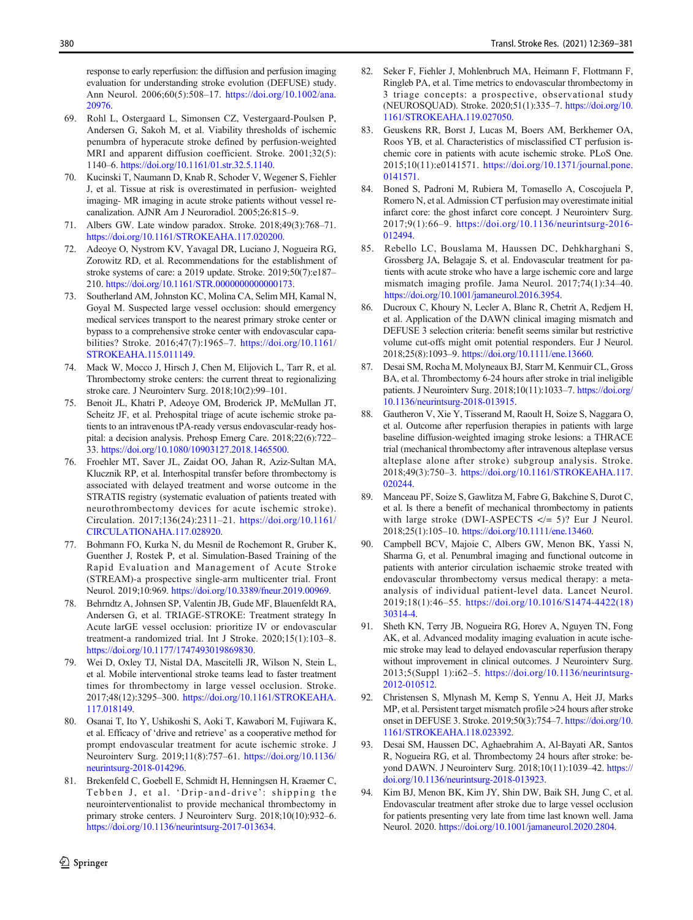response to early reperfusion: the diffusion and perfusion imaging evaluation for understanding stroke evolution (DEFUSE) study. Ann Neurol. 2006;60(5):508–17. https://doi.org/10.1002/ana. 20976.

- 69. Rohl L, Ostergaard L, Simonsen CZ, Vestergaard-Poulsen P, Andersen G, Sakoh M, et al. Viability thresholds of ischemic penumbra of hyperacute stroke defined by perfusion-weighted MRI and apparent diffusion coefficient. Stroke. 2001;32(5): 1140–6. https://doi.org/10.1161/01.str.32.5.1140.
- 70. Kucinski T, Naumann D, Knab R, Schoder V, Wegener S, Fiehler J, et al. Tissue at risk is overestimated in perfusion- weighted imaging- MR imaging in acute stroke patients without vessel recanalization. AJNR Am J Neuroradiol. 2005;26:815–9.
- 71. Albers GW. Late window paradox. Stroke. 2018;49(3):768–71. https://doi.org/10.1161/STROKEAHA.117.020200.
- 72. Adeoye O, Nystrom KV, Yavagal DR, Luciano J, Nogueira RG, Zorowitz RD, et al. Recommendations for the establishment of stroke systems of care: a 2019 update. Stroke. 2019;50(7):e187– 210. https://doi.org/10.1161/STR.0000000000000173.
- 73. Southerland AM, Johnston KC, Molina CA, Selim MH, Kamal N, Goyal M. Suspected large vessel occlusion: should emergency medical services transport to the nearest primary stroke center or bypass to a comprehensive stroke center with endovascular capabilities? Stroke. 2016;47(7):1965–7. https://doi.org/10.1161/ STROKEAHA.115.011149.
- 74. Mack W, Mocco J, Hirsch J, Chen M, Elijovich L, Tarr R, et al. Thrombectomy stroke centers: the current threat to regionalizing stroke care. J Neurointerv Surg. 2018;10(2):99–101.
- 75. Benoit JL, Khatri P, Adeoye OM, Broderick JP, McMullan JT, Scheitz JF, et al. Prehospital triage of acute ischemic stroke patients to an intravenous tPA-ready versus endovascular-ready hospital: a decision analysis. Prehosp Emerg Care. 2018;22(6):722– 33. https://doi.org/10.1080/10903127.2018.1465500.
- 76. Froehler MT, Saver JL, Zaidat OO, Jahan R, Aziz-Sultan MA, Klucznik RP, et al. Interhospital transfer before thrombectomy is associated with delayed treatment and worse outcome in the STRATIS registry (systematic evaluation of patients treated with neurothrombectomy devices for acute ischemic stroke). Circulation. 2017;136(24):2311–21. https://doi.org/10.1161/ CIRCULATIONAHA.117.028920.
- 77. Bohmann FO, Kurka N, du Mesnil de Rochemont R, Gruber K, Guenther J, Rostek P, et al. Simulation-Based Training of the Rapid Evaluation and Management of Acute Stroke (STREAM)-a prospective single-arm multicenter trial. Front Neurol. 2019;10:969. https://doi.org/10.3389/fneur.2019.00969.
- 78. Behrndtz A, Johnsen SP, Valentin JB, Gude MF, Blauenfeldt RA, Andersen G, et al. TRIAGE-STROKE: Treatment strategy In Acute larGE vessel occlusion: prioritize IV or endovascular treatment-a randomized trial. Int J Stroke. 2020;15(1):103–8. https://doi.org/10.1177/1747493019869830.
- 79. Wei D, Oxley TJ, Nistal DA, Mascitelli JR, Wilson N, Stein L, et al. Mobile interventional stroke teams lead to faster treatment times for thrombectomy in large vessel occlusion. Stroke. 2017;48(12):3295–300. https://doi.org/10.1161/STROKEAHA. 117.018149.
- 80. Osanai T, Ito Y, Ushikoshi S, Aoki T, Kawabori M, Fujiwara K, et al. Efficacy of 'drive and retrieve' as a cooperative method for prompt endovascular treatment for acute ischemic stroke. J Neurointerv Surg. 2019;11(8):757–61. https://doi.org/10.1136/ neurintsurg-2018-014296.
- 81. Brekenfeld C, Goebell E, Schmidt H, Henningsen H, Kraemer C, Tebben J, et al. 'Drip-and-drive ': shipping the neurointerventionalist to provide mechanical thrombectomy in primary stroke centers. J Neurointerv Surg. 2018;10(10):932–6. https://doi.org/10.1136/neurintsurg-2017-013634.
- 82. Seker F, Fiehler J, Mohlenbruch MA, Heimann F, Flottmann F, Ringleb PA, et al. Time metrics to endovascular thrombectomy in 3 triage concepts: a prospective, observational study (NEUROSQUAD). Stroke. 2020;51(1):335–7. https://doi.org/10. 1161/STROKEAHA.119.027050.
- 83. Geuskens RR, Borst J, Lucas M, Boers AM, Berkhemer OA, Roos YB, et al. Characteristics of misclassified CT perfusion ischemic core in patients with acute ischemic stroke. PLoS One. 2015;10(11):e0141571. https://doi.org/10.1371/journal.pone. 0141571.
- 84. Boned S, Padroni M, Rubiera M, Tomasello A, Coscojuela P, Romero N, et al. Admission CT perfusion may overestimate initial infarct core: the ghost infarct core concept. J Neurointerv Surg. 2017;9(1):66–9. https://doi.org/10.1136/neurintsurg-2016- 012494.
- 85. Rebello LC, Bouslama M, Haussen DC, Dehkharghani S, Grossberg JA, Belagaje S, et al. Endovascular treatment for patients with acute stroke who have a large ischemic core and large mismatch imaging profile. Jama Neurol. 2017;74(1):34–40. https://doi.org/10.1001/jamaneurol.2016.3954.
- 86. Ducroux C, Khoury N, Lecler A, Blanc R, Chetrit A, Redjem H, et al. Application of the DAWN clinical imaging mismatch and DEFUSE 3 selection criteria: benefit seems similar but restrictive volume cut-offs might omit potential responders. Eur J Neurol. 2018;25(8):1093–9. https://doi.org/10.1111/ene.13660.
- 87. Desai SM, Rocha M, Molyneaux BJ, Starr M, Kenmuir CL, Gross BA, et al. Thrombectomy 6-24 hours after stroke in trial ineligible patients. J Neurointerv Surg. 2018;10(11):1033–7. https://doi.org/ 10.1136/neurintsurg-2018-013915.
- 88. Gautheron V, Xie Y, Tisserand M, Raoult H, Soize S, Naggara O, et al. Outcome after reperfusion therapies in patients with large baseline diffusion-weighted imaging stroke lesions: a THRACE trial (mechanical thrombectomy after intravenous alteplase versus alteplase alone after stroke) subgroup analysis. Stroke. 2018;49(3):750–3. https://doi.org/10.1161/STROKEAHA.117. 020244.
- 89. Manceau PF, Soize S, Gawlitza M, Fabre G, Bakchine S, Durot C, et al. Is there a benefit of mechanical thrombectomy in patients with large stroke (DWI-ASPECTS  $\lt$ /= 5)? Eur J Neurol. 2018;25(1):105–10. https://doi.org/10.1111/ene.13460.
- 90. Campbell BCV, Majoie C, Albers GW, Menon BK, Yassi N, Sharma G, et al. Penumbral imaging and functional outcome in patients with anterior circulation ischaemic stroke treated with endovascular thrombectomy versus medical therapy: a metaanalysis of individual patient-level data. Lancet Neurol. 2019;18(1):46–55. https://doi.org/10.1016/S1474-4422(18) 30314-4.
- 91. Sheth KN, Terry JB, Nogueira RG, Horev A, Nguyen TN, Fong AK, et al. Advanced modality imaging evaluation in acute ischemic stroke may lead to delayed endovascular reperfusion therapy without improvement in clinical outcomes. J Neurointerv Surg. 2013;5(Suppl 1):i62–5. https://doi.org/10.1136/neurintsurg-2012-010512.
- 92. Christensen S, Mlynash M, Kemp S, Yennu A, Heit JJ, Marks MP, et al. Persistent target mismatch profile >24 hours after stroke onset in DEFUSE 3. Stroke. 2019;50(3):754–7. https://doi.org/10. 1161/STROKEAHA.118.023392.
- 93. Desai SM, Haussen DC, Aghaebrahim A, Al-Bayati AR, Santos R, Nogueira RG, et al. Thrombectomy 24 hours after stroke: beyond DAWN. J Neurointerv Surg. 2018;10(11):1039–42. https:// doi.org/10.1136/neurintsurg-2018-013923.
- 94. Kim BJ, Menon BK, Kim JY, Shin DW, Baik SH, Jung C, et al. Endovascular treatment after stroke due to large vessel occlusion for patients presenting very late from time last known well. Jama Neurol. 2020. https://doi.org/10.1001/jamaneurol.2020.2804.